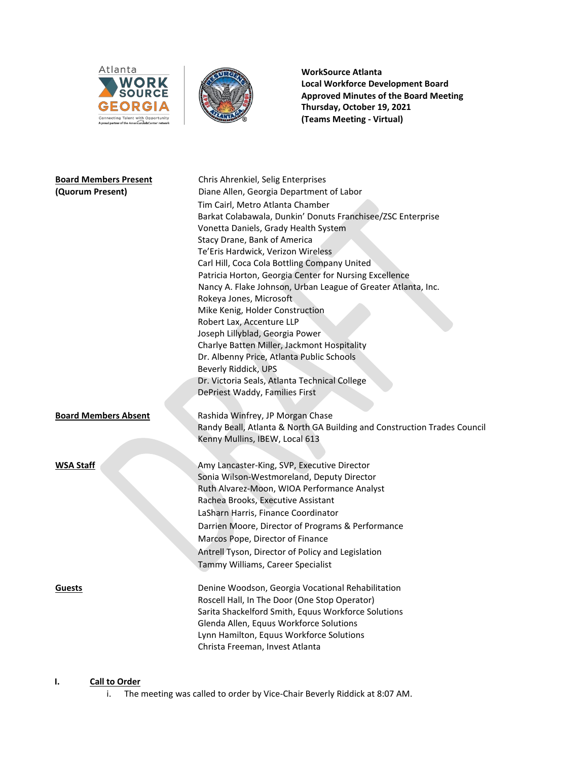



**WorkSource Atlanta Local Workforce Development Board Approved Minutes of the Board Meeting Thursday, October 19, 2021 (Teams Meeting - Virtual)**

| <b>Board Members Present</b><br>(Quorum Present) | Chris Ahrenkiel, Selig Enterprises<br>Diane Allen, Georgia Department of Labor<br>Tim Cairl, Metro Atlanta Chamber<br>Barkat Colabawala, Dunkin' Donuts Franchisee/ZSC Enterprise<br>Vonetta Daniels, Grady Health System<br>Stacy Drane, Bank of America<br>Te'Eris Hardwick, Verizon Wireless<br>Carl Hill, Coca Cola Bottling Company United<br>Patricia Horton, Georgia Center for Nursing Excellence<br>Nancy A. Flake Johnson, Urban League of Greater Atlanta, Inc.<br>Rokeya Jones, Microsoft<br>Mike Kenig, Holder Construction<br>Robert Lax, Accenture LLP<br>Joseph Lillyblad, Georgia Power<br>Charlye Batten Miller, Jackmont Hospitality<br>Dr. Albenny Price, Atlanta Public Schools<br>Beverly Riddick, UPS<br>Dr. Victoria Seals, Atlanta Technical College<br>DePriest Waddy, Families First |
|--------------------------------------------------|-----------------------------------------------------------------------------------------------------------------------------------------------------------------------------------------------------------------------------------------------------------------------------------------------------------------------------------------------------------------------------------------------------------------------------------------------------------------------------------------------------------------------------------------------------------------------------------------------------------------------------------------------------------------------------------------------------------------------------------------------------------------------------------------------------------------|
| <b>Board Members Absent</b>                      | Rashida Winfrey, JP Morgan Chase<br>Randy Beall, Atlanta & North GA Building and Construction Trades Council<br>Kenny Mullins, IBEW, Local 613                                                                                                                                                                                                                                                                                                                                                                                                                                                                                                                                                                                                                                                                  |
| <b>WSA Staff</b>                                 | Amy Lancaster-King, SVP, Executive Director<br>Sonia Wilson-Westmoreland, Deputy Director<br>Ruth Alvarez-Moon, WIOA Performance Analyst<br>Rachea Brooks, Executive Assistant<br>LaSharn Harris, Finance Coordinator<br>Darrien Moore, Director of Programs & Performance<br>Marcos Pope, Director of Finance<br>Antrell Tyson, Director of Policy and Legislation<br>Tammy Williams, Career Specialist                                                                                                                                                                                                                                                                                                                                                                                                        |
| <b>Guests</b>                                    | Denine Woodson, Georgia Vocational Rehabilitation<br>Roscell Hall, In The Door (One Stop Operator)<br>Sarita Shackelford Smith, Equus Workforce Solutions<br>Glenda Allen, Equus Workforce Solutions<br>Lynn Hamilton, Equus Workforce Solutions<br>Christa Freeman, Invest Atlanta                                                                                                                                                                                                                                                                                                                                                                                                                                                                                                                             |

# **I. Call to Order**

i. The meeting was called to order by Vice-Chair Beverly Riddick at 8:07 AM.